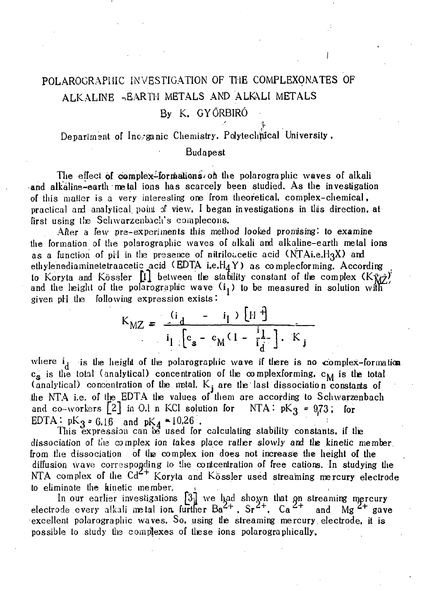# POLAROGRAPHIC INVESTIGATION OF THE COMPLEXONATES OF ALKALINE -EARTH METALS AND ALKALI METALS

## By K. GYORBIRO

**I •**  Department of Inc,-ganic Chemistry. Polytechfucal University ,

#### Budapest

The effect of complex-formations on the polarographic waves of alkali and alkaline-earth metal ions has scarcely been studied. As the investigation of this matter is a very interesting one from theoretical, complex-chemical, practical and analytical point of view, I began investigations in this direction, at first using the Schwarzenbach's complecons.

After a few pre-experiments this method looked promising: to examine the formation of the polarographic waves of alkali and alkaline-earth metal ions as a function of pH in the presence of nitriloacetic acid  $(NTAi.e. H<sub>3</sub>X)$  and ethylenediaminetetraacetic acid (EDTA i.e. $H_4$ Y) as complecforming. According to Koryta and Kössler  $[1]$  between the stability constant of the complex  $(K_{WZ}^*)$ and the height of the polarographic wave  $(i_i)$  to be measured in solution with given pH tlie following expression exists:

$$
K_{\text{MZ}} = \frac{i_{\text{d}}}{i_{\text{l}}} - \frac{i_{\text{l}}}{i_{\text{d}}} \frac{\left[ H^{\frac{1}{3}} \right]}{i_{\text{d}} \left[ c_{\text{s}} - c_{\text{M}} (1 - \frac{i_{\text{l}}}{i_{\text{d}}} \right] \cdot K_{\text{j}}}
$$

where  $i_d$  is the height of the polarographic wave if there is no complex-formation  $c_{\infty}$  is the total (analytical) concentration of the complexforming,  $c_{\text{M}}$  is the total (analytical) concentration of the metal.  $K_i$  are the last dissociation constants of the NTA i.e. of the EDTA the values of them are according to Schwarzenbach and co-workers  $\begin{bmatrix} 2 \end{bmatrix}$  in 0.1 n KCl solution for NTA:  $pK<sub>3</sub> = 9.73$ ; for EDTA:  $pK_3 = 6.16$  and  $pK_4 = 10,26$ .

This expression can be used for calculating stability constants, if tlie dissociation of tiie complex ion takes place ratlier slowly and tie kinetic member, from the dissociation of the complex ion does not increase the height of the diffusion wave corresponding to the contcentration of free cations. In studying the NTA complex of the  $Cd^{2+}$  Koryta and Kössler used streaming mercury electrode to eliminate the kinetic member.

In our earlier investigations [3iJ *we* had shown that on streaming njercury electrode every alkali metal ion, further  $Ba^{2+}$ ,  $Sr^{2+}$ ,  $Ca^{2+}$  and Mg<sup>2+</sup> gave excellent polarographic waves. So, using the streaming mercury electrode, it is possible to study the complexes of these ions polarographically.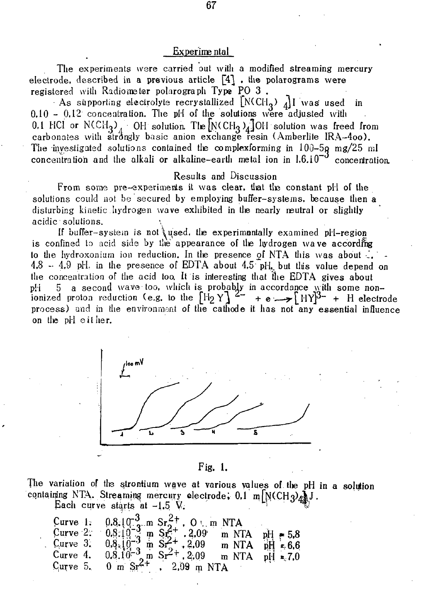### Experime ntal

The experiments were carried out with a modified streaming mercury electrode, described in a previous article  $\lceil 4 \rceil$  , the polarograms were registered with Radiometer polarograph Type PO 3.

As supporting electrolyte recrystallized  $[N(CH_3)_{4}]$ I was used in  $0.10 - 0.12$  concentration. The pH of the solutions were adjusted with 0.1 HCl or N(CH<sub>3</sub>) OH solution. The  $[N(CH_3)_4]$ OH solution was freed from carbonates with strongly basic anion exchange resin (Amberlite IRA-400). The investigated solutions contained the complexforming in  $100-5g$  mg/25 ml concentration and the alkali or alkaline-earth metal ion in  $1.6.10^{-3}$  concentration.

#### Results and Discussion

From some pre-experiments it was clear, that the constant pH of the solutions could not be secured by employing buffer-systems, because then a disturbing kinetic hydrogen wave exhibited in the nearly neutral or slightly acidic solutions.

If buffer-system is not used, the experimentally examined pH-region is confined to acid side by the appearance of the hydrogen wave according to the hydroxonium ion reduction. In the presence of NTA this was about  $\ddot{\cdot}$ .  $4.8 - 4.9$  pH, in the presence of EDTA about  $4.5$  pH, but this value depend on the concentration of the acid too. It is interesting that the EDTA gives about pH 5 a second wave too, which is probably in accordance with some non-<br>ionized proton reduction (e.g. to the  $[H_2 Y]$  + e  $\rightarrow [HY]^{3-}$  + H electrode process) and in the environment of the cathode it has not any essential influence on the pH either.



Fig. 1.

The variation of the strontium wave at various values of the pH in a solution containing NTA. Streaming mercury electrode, 0.1 m N(CH3) AJ.

Each curve starts at  $-1.5$  V.

|  | Curve 1: $0.8.10^{-3}$ m Sr <sup>2+</sup> , 0 i.m NTA<br>Curve 2: $0.8.10^{-3}$ m Sr <sub>2</sub> +, 2.09 m NTA pH = 5.8               |  |
|--|----------------------------------------------------------------------------------------------------------------------------------------|--|
|  |                                                                                                                                        |  |
|  | Curve 3. $0.8 \times 10^{-3}$ m $S^2 + .2.09$ m NTA pH = 6.6<br>Curve 4. $0.8 \times 10^{-3}$ m Sr <sup>2+</sup> . 2.09 m NTA pH = 7.0 |  |
|  |                                                                                                                                        |  |
|  | Curve 5. $0 \text{ m } \text{Sr}^{2+}$ . 2.09 m NTA                                                                                    |  |

67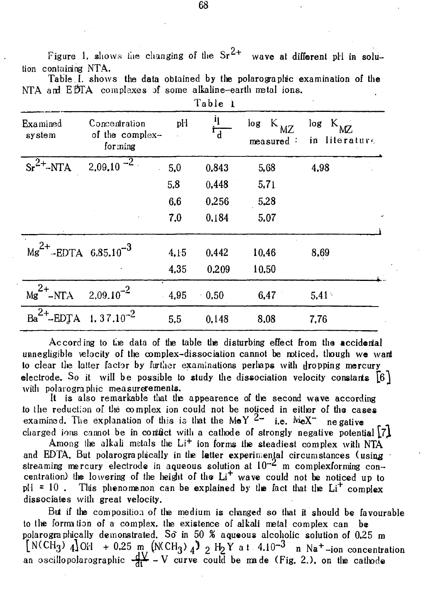$2.$ Figure 1, shows the changing of the  $Sr^{2+}$  wave at different pH in solution containing NTA.

|  |  |  |         |                                                           | Table I, shows the data obtained by the polarographic examination of the |  |
|--|--|--|---------|-----------------------------------------------------------|--------------------------------------------------------------------------|--|
|  |  |  |         | NTA and EDTA complexes of some alkaline-earth metal ions. |                                                                          |  |
|  |  |  | Table 1 |                                                           |                                                                          |  |

| Examined<br>system                      | Concentration<br>of the complex-<br>forming | pl-I | η<br>$\overline{\mathsf{b}}^{\mathsf{r}}$ | log<br>MZ<br>measured: | $log K_{MC}$<br>in literature |
|-----------------------------------------|---------------------------------------------|------|-------------------------------------------|------------------------|-------------------------------|
| $sr^{2+}$ -NTA                          | $2,09,10^{-2}$                              | 5,0  | 0,843                                     | 5,68                   | 4,98                          |
|                                         |                                             | 5,8  | 0.448                                     | 5.71                   |                               |
|                                         |                                             | 6,6  | 0,256                                     | 5,28                   |                               |
|                                         |                                             | 7,0  | 0.184                                     | 5,07                   |                               |
| ${Mg}^{2+}$ -EDTA 6.85.10 <sup>-3</sup> |                                             | 4.15 | 0.442                                     | 10,46                  | 8,69                          |
|                                         |                                             | 4,35 | 0.209                                     | 10.50                  |                               |
| $Mg^{2+}$ -NTA                          | $2,09.10^{-2}$                              | 4,95 | 0.50                                      | 6,47                   | $5.41 -$                      |
| $Ba^{2+} - EDJA$                        | $1.37.10^{-2}$                              | 5,5  | 0,148                                     | 8,08                   | 7,76                          |

According to the data of tie table the disturbing effect from the accidental unnegligible velocity of the complex-dissociation cannot be noticed, though we want to clear the latter factor by further examinations perhaps with dropping mercury electrode. So it will be possible to study the dissociation velocity constants  $[6]$ with polarographic measurerements.

It is also remarkable that tie appearence of tie second wave according to the reduction of the complex ion could not be noticed in eitler of the cases examined. The explanation of this is that the MeY  $4-$  i.e. MeX- negative charged ions cannot be in contact with a cathode of strongly negative potential  $\lceil 7 \rceil$ 

Among the alkali metals the  $Li^{+}$  ion forms the steadiest complex with NTA and EDTA. But polarograplucally in the letter experimental circumstances (using streaming mercury electrode in aqueous solution at  $10^{-2}$  m complexforming concentration) the lowering of the height of the  $Li<sup>+</sup>$  wave could not be noticed up to pH = 10. This phenomenon can be explained by the fact that the  $Li<sup>+</sup>$  complex dissociates with great velocity.

But if tie composition of tie medium is clanged so tliat it should be favourable to tie forrration of a complex, tie existence of alkali metal complex can be polarogra phically demonstrated. So in 50 % aqueous alcoholic solution of  $0.25$  m  $[N(\text{CH}_3) \ 4]\text{OH}$  + 0.25 m (N(CH<sub>3</sub>)  $_4$ )  $_2$  H<sub>2</sub>Y a t  $4.10^{-3}$  n Na<sup>+</sup>-ion concentration an oscillopolarographic  $\frac{qX}{r}$  - V curve could be made (Fig. 2.), on the cathode